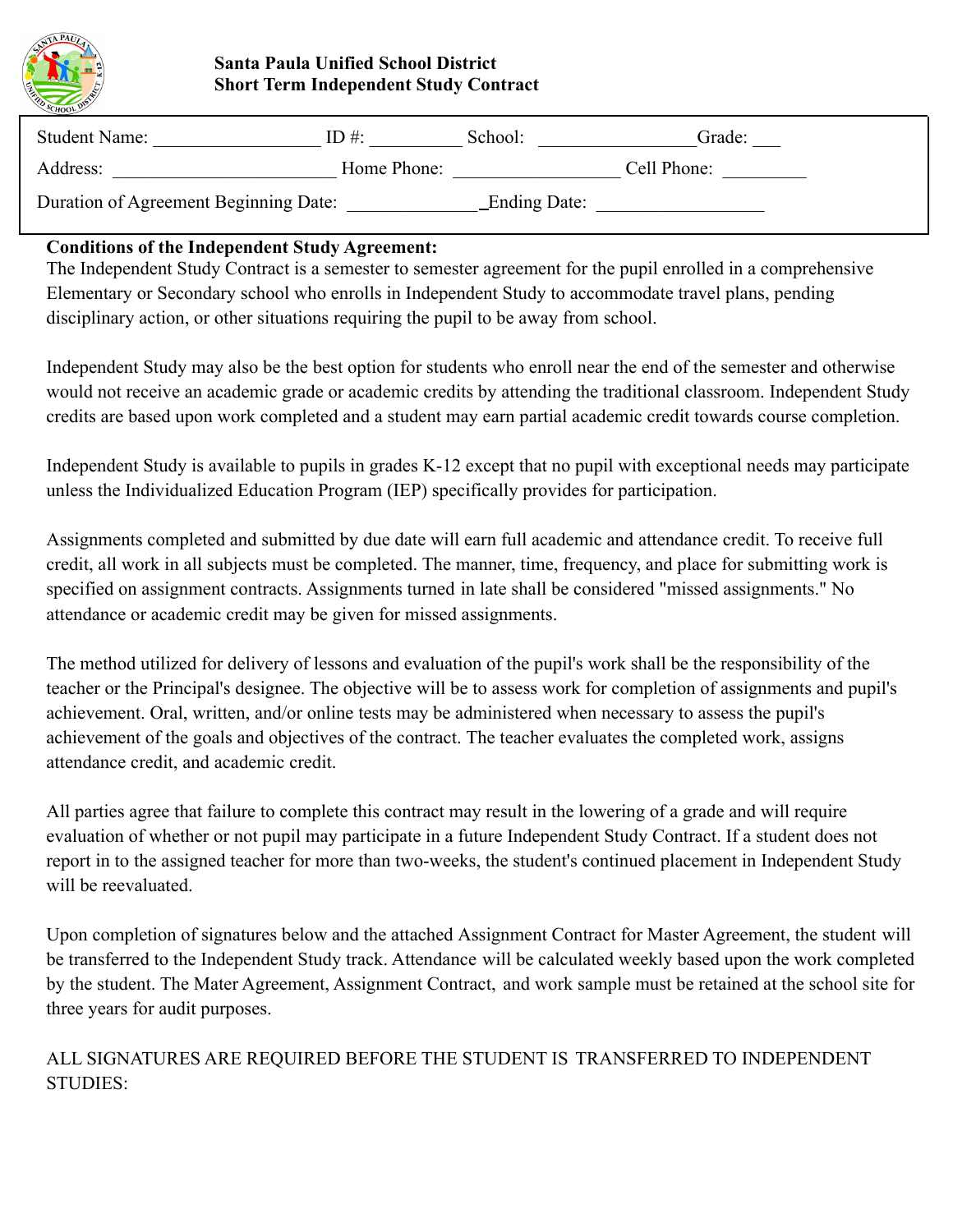

### **Santa Paula Unified School District Short Term Independent Study Contract**

| <b>Student Name:</b>                  | ID#:        | School:      | Grade:      |
|---------------------------------------|-------------|--------------|-------------|
| Address:                              | Home Phone: |              | Cell Phone: |
| Duration of Agreement Beginning Date: |             | Ending Date: |             |

### **Conditions of the Independent Study Agreement:**

The Independent Study Contract is a semester to semester agreement for the pupil enrolled in a comprehensive Elementary or Secondary school who enrolls in Independent Study to accommodate travel plans, pending disciplinary action, or other situations requiring the pupil to be away from school.

Independent Study may also be the best option for students who enroll near the end of the semester and otherwise would not receive an academic grade or academic credits by attending the traditional classroom. Independent Study credits are based upon work completed and a student may earn partial academic credit towards course completion.

Independent Study is available to pupils in grades K-12 except that no pupil with exceptional needs may participate unless the Individualized Education Program (IEP) specifically provides for participation.

Assignments completed and submitted by due date will earn full academic and attendance credit. To receive full credit, all work in all subjects must be completed. The manner, time, frequency, and place for submitting work is specified on assignment contracts. Assignments turned in late shall be considered "missed assignments." No attendance or academic credit may be given for missed assignments.

The method utilized for delivery of lessons and evaluation of the pupil's work shall be the responsibility of the teacher or the Principal's designee. The objective will be to assess work for completion of assignments and pupil's achievement. Oral, written, and/or online tests may be administered when necessary to assess the pupil's achievement of the goals and objectives of the contract. The teacher evaluates the completed work, assigns attendance credit, and academic credit.

All parties agree that failure to complete this contract may result in the lowering of a grade and will require evaluation of whether or not pupil may participate in a future Independent Study Contract. If a student does not report in to the assigned teacher for more than two-weeks, the student's continued placement in Independent Study will be reevaluated.

Upon completion of signatures below and the attached Assignment Contract for Master Agreement, the student will be transferred to the Independent Study track. Attendance will be calculated weekly based upon the work completed by the student. The Mater Agreement, Assignment Contract, and work sample must be retained at the school site for three years for audit purposes.

ALL SIGNATURES ARE REQUIRED BEFORE THE STUDENT IS TRANSFERRED TO INDEPENDENT STUDIES: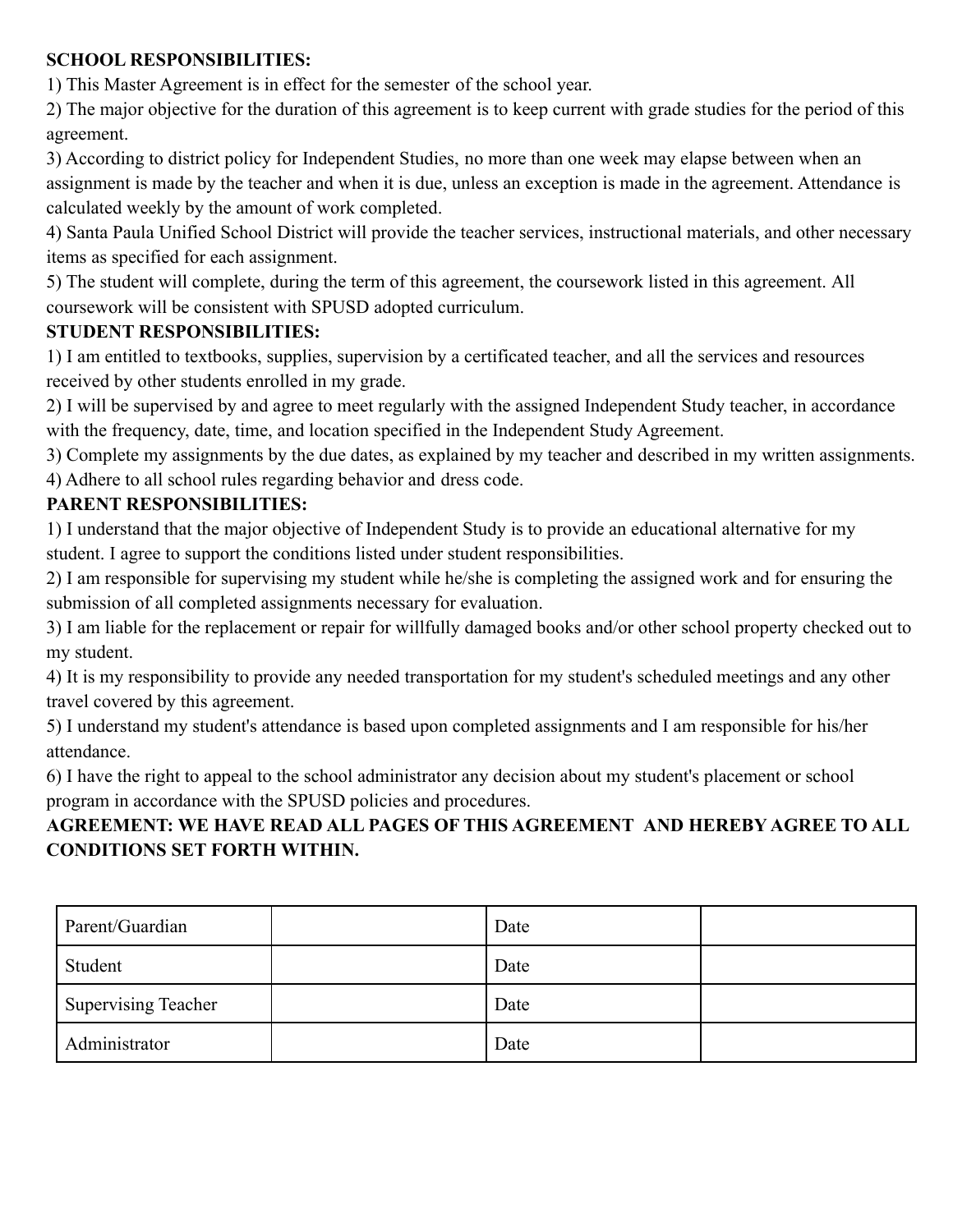### **SCHOOL RESPONSIBILITIES:**

1) This Master Agreement is in effect for the semester of the school year.

2) The major objective for the duration of this agreement is to keep current with grade studies for the period of this agreement.

3) According to district policy for Independent Studies, no more than one week may elapse between when an assignment is made by the teacher and when it is due, unless an exception is made in the agreement. Attendance is calculated weekly by the amount of work completed.

4) Santa Paula Unified School District will provide the teacher services, instructional materials, and other necessary items as specified for each assignment.

5) The student will complete, during the term of this agreement, the coursework listed in this agreement. All coursework will be consistent with SPUSD adopted curriculum.

### **STUDENT RESPONSIBILITIES:**

1) I am entitled to textbooks, supplies, supervision by a certificated teacher, and all the services and resources received by other students enrolled in my grade.

2) I will be supervised by and agree to meet regularly with the assigned Independent Study teacher, in accordance with the frequency, date, time, and location specified in the Independent Study Agreement.

3) Complete my assignments by the due dates, as explained by my teacher and described in my written assignments. 4) Adhere to all school rules regarding behavior and dress code.

### **PARENT RESPONSIBILITIES:**

1) I understand that the major objective of Independent Study is to provide an educational alternative for my student. I agree to support the conditions listed under student responsibilities.

2) I am responsible for supervising my student while he/she is completing the assigned work and for ensuring the submission of all completed assignments necessary for evaluation.

3) I am liable for the replacement or repair for willfully damaged books and/or other school property checked out to my student.

4) It is my responsibility to provide any needed transportation for my student's scheduled meetings and any other travel covered by this agreement.

5) I understand my student's attendance is based upon completed assignments and I am responsible for his/her attendance.

6) I have the right to appeal to the school administrator any decision about my student's placement or school program in accordance with the SPUSD policies and procedures.

# **AGREEMENT: WE HAVE READ ALL PAGES OF THIS AGREEMENT AND HEREBY AGREE TO ALL CONDITIONS SET FORTH WITHIN.**

| Parent/Guardian     | Date |  |
|---------------------|------|--|
| Student             | Date |  |
| Supervising Teacher | Date |  |
| Administrator       | Date |  |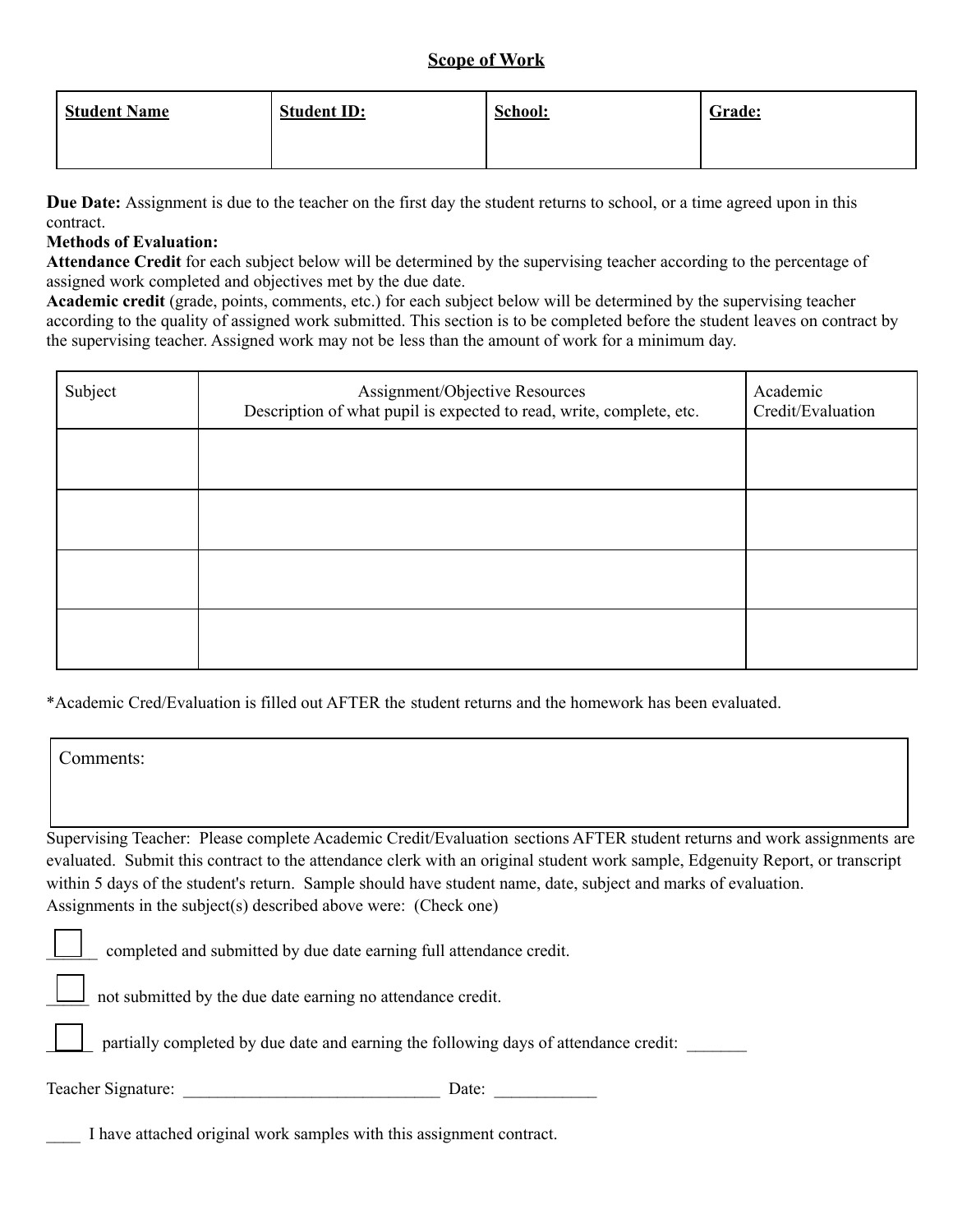### **Scope of Work**

| <b>Student Name</b> | <b>Student ID:</b> | School: | Grade: |
|---------------------|--------------------|---------|--------|
|                     |                    |         |        |

**Due Date:** Assignment is due to the teacher on the first day the student returns to school, or a time agreed upon in this contract.

### **Methods of Evaluation:**

**Attendance Credit** for each subject below will be determined by the supervising teacher according to the percentage of assigned work completed and objectives met by the due date.

**Academic credit** (grade, points, comments, etc.) for each subject below will be determined by the supervising teacher according to the quality of assigned work submitted. This section is to be completed before the student leaves on contract by the supervising teacher. Assigned work may not be less than the amount of work for a minimum day.

| Subject | Assignment/Objective Resources<br>Description of what pupil is expected to read, write, complete, etc. | Academic<br>Credit/Evaluation |
|---------|--------------------------------------------------------------------------------------------------------|-------------------------------|
|         |                                                                                                        |                               |
|         |                                                                                                        |                               |
|         |                                                                                                        |                               |
|         |                                                                                                        |                               |

\*Academic Cred/Evaluation is filled out AFTER the student returns and the homework has been evaluated.

| Comments:                                                                                                                                                                                                                                                |
|----------------------------------------------------------------------------------------------------------------------------------------------------------------------------------------------------------------------------------------------------------|
| Supervising Teacher: Please complete Academic Credit/Evaluation sections AFTER student returns and work assignments are<br>evaluated. Submit this contract to the attendance clerk with an original student work sample, Edgenuity Report, or transcript |
| within 5 days of the student's return. Sample should have student name, date, subject and marks of evaluation.<br>Assignments in the subject(s) described above were: (Check one)                                                                        |
| completed and submitted by due date earning full attendance credit.                                                                                                                                                                                      |
| not submitted by the due date earning no attendance credit.                                                                                                                                                                                              |
| partially completed by due date and earning the following days of attendance credit:                                                                                                                                                                     |
| Teacher Signature:<br>Date:                                                                                                                                                                                                                              |
| I have attached original work samples with this assignment contract.                                                                                                                                                                                     |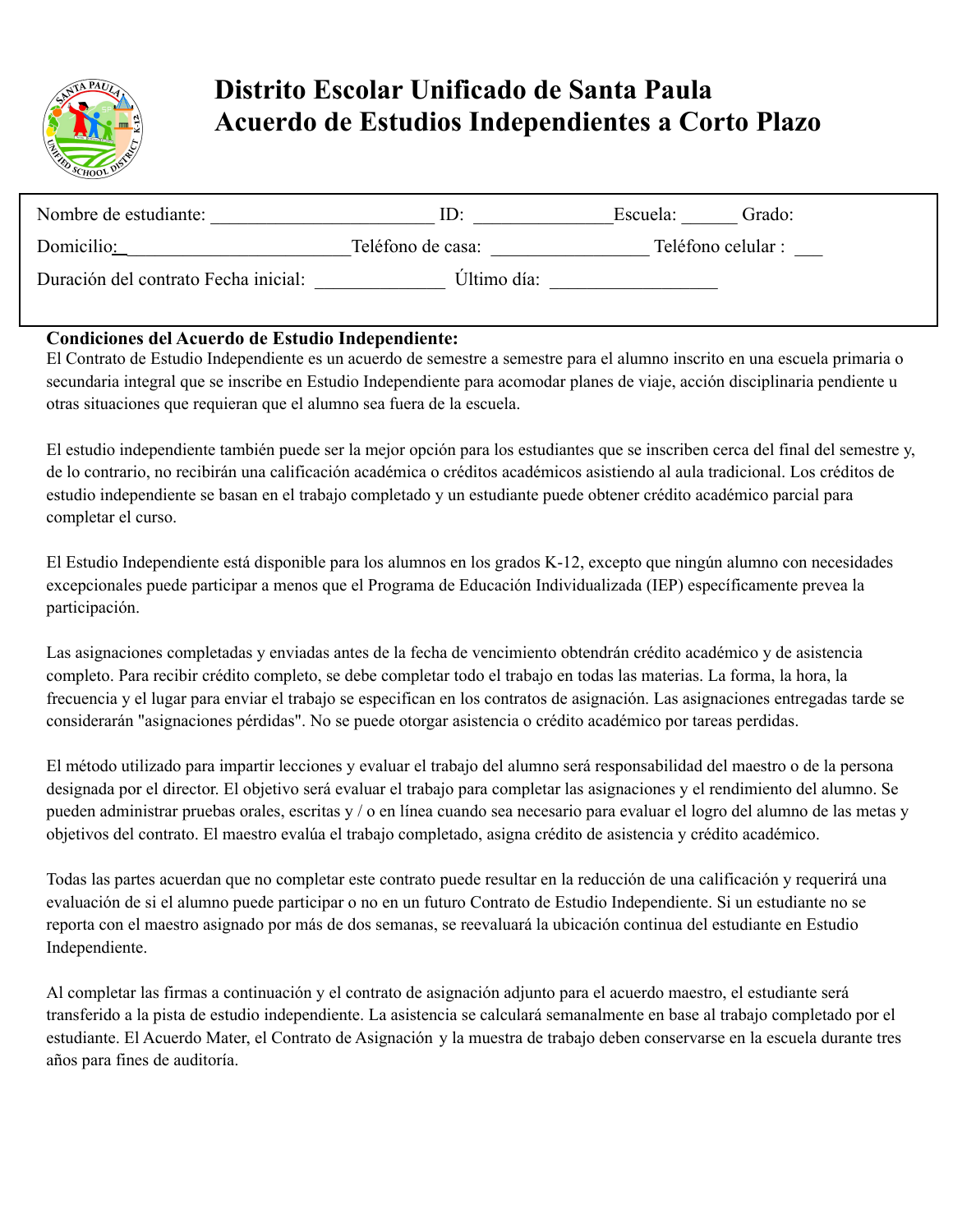

# **Distrito Escolar Unificado de Santa Paula Acuerdo de Estudios Independientes a Corto Plazo**

| Nombre de estudiante:                | $\mathbf{H}$      | Escuela:           | Grado: |
|--------------------------------------|-------------------|--------------------|--------|
| Domicilio:                           | Teléfono de casa: | Teléfono celular : |        |
| Duración del contrato Fecha inicial: | Último día:       |                    |        |

### **Condiciones del Acuerdo de Estudio Independiente:**

El Contrato de Estudio Independiente es un acuerdo de semestre a semestre para el alumno inscrito en una escuela primaria o secundaria integral que se inscribe en Estudio Independiente para acomodar planes de viaje, acción disciplinaria pendiente u otras situaciones que requieran que el alumno sea fuera de la escuela.

El estudio independiente también puede ser la mejor opción para los estudiantes que se inscriben cerca del final del semestre y, de lo contrario, no recibirán una calificación académica o créditos académicos asistiendo al aula tradicional. Los créditos de estudio independiente se basan en el trabajo completado y un estudiante puede obtener crédito académico parcial para completar el curso.

El Estudio Independiente está disponible para los alumnos en los grados K-12, excepto que ningún alumno con necesidades excepcionales puede participar a menos que el Programa de Educación Individualizada (IEP) específicamente prevea la participación.

Las asignaciones completadas y enviadas antes de la fecha de vencimiento obtendrán crédito académico y de asistencia completo. Para recibir crédito completo, se debe completar todo el trabajo en todas las materias. La forma, la hora, la frecuencia y el lugar para enviar el trabajo se especifican en los contratos de asignación. Las asignaciones entregadas tarde se considerarán "asignaciones pérdidas". No se puede otorgar asistencia o crédito académico por tareas perdidas.

El método utilizado para impartir lecciones y evaluar el trabajo del alumno será responsabilidad del maestro o de la persona designada por el director. El objetivo será evaluar el trabajo para completar las asignaciones y el rendimiento del alumno. Se pueden administrar pruebas orales, escritas y / o en línea cuando sea necesario para evaluar el logro del alumno de las metas y objetivos del contrato. El maestro evalúa el trabajo completado, asigna crédito de asistencia y crédito académico.

Todas las partes acuerdan que no completar este contrato puede resultar en la reducción de una calificación y requerirá una evaluación de si el alumno puede participar o no en un futuro Contrato de Estudio Independiente. Si un estudiante no se reporta con el maestro asignado por más de dos semanas, se reevaluará la ubicación continua del estudiante en Estudio Independiente.

Al completar las firmas a continuación y el contrato de asignación adjunto para el acuerdo maestro, el estudiante será transferido a la pista de estudio independiente. La asistencia se calculará semanalmente en base al trabajo completado por el estudiante. El Acuerdo Mater, el Contrato de Asignación y la muestra de trabajo deben conservarse en la escuela durante tres años para fines de auditoría.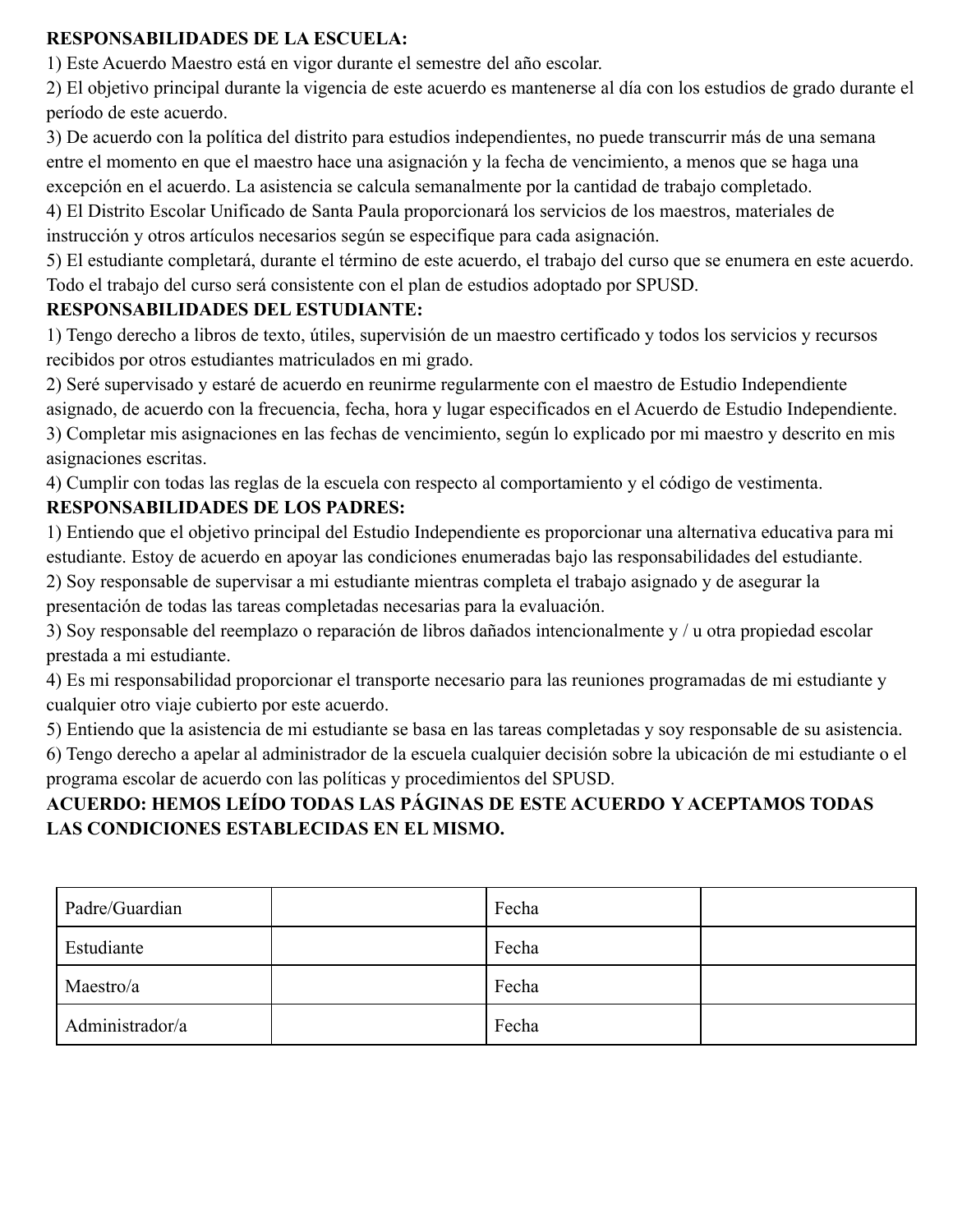### **RESPONSABILIDADES DE LA ESCUELA:**

1) Este Acuerdo Maestro está en vigor durante el semestre del año escolar.

2) El objetivo principal durante la vigencia de este acuerdo es mantenerse al día con los estudios de grado durante el período de este acuerdo.

3) De acuerdo con la política del distrito para estudios independientes, no puede transcurrir más de una semana entre el momento en que el maestro hace una asignación y la fecha de vencimiento, a menos que se haga una excepción en el acuerdo. La asistencia se calcula semanalmente por la cantidad de trabajo completado.

4) El Distrito Escolar Unificado de Santa Paula proporcionará los servicios de los maestros, materiales de instrucción y otros artículos necesarios según se especifique para cada asignación.

5) El estudiante completará, durante el término de este acuerdo, el trabajo del curso que se enumera en este acuerdo. Todo el trabajo del curso será consistente con el plan de estudios adoptado por SPUSD.

### **RESPONSABILIDADES DEL ESTUDIANTE:**

1) Tengo derecho a libros de texto, útiles, supervisión de un maestro certificado y todos los servicios y recursos recibidos por otros estudiantes matriculados en mi grado.

2) Seré supervisado y estaré de acuerdo en reunirme regularmente con el maestro de Estudio Independiente

asignado, de acuerdo con la frecuencia, fecha, hora y lugar especificados en el Acuerdo de Estudio Independiente. 3) Completar mis asignaciones en las fechas de vencimiento, según lo explicado por mi maestro y descrito en mis asignaciones escritas.

4) Cumplir con todas las reglas de la escuela con respecto al comportamiento y el código de vestimenta.

# **RESPONSABILIDADES DE LOS PADRES:**

1) Entiendo que el objetivo principal del Estudio Independiente es proporcionar una alternativa educativa para mi estudiante. Estoy de acuerdo en apoyar las condiciones enumeradas bajo las responsabilidades del estudiante.

2) Soy responsable de supervisar a mi estudiante mientras completa el trabajo asignado y de asegurar la presentación de todas las tareas completadas necesarias para la evaluación.

3) Soy responsable del reemplazo o reparación de libros dañados intencionalmente y / u otra propiedad escolar prestada a mi estudiante.

4) Es mi responsabilidad proporcionar el transporte necesario para las reuniones programadas de mi estudiante y cualquier otro viaje cubierto por este acuerdo.

5) Entiendo que la asistencia de mi estudiante se basa en las tareas completadas y soy responsable de su asistencia. 6) Tengo derecho a apelar al administrador de la escuela cualquier decisión sobre la ubicación de mi estudiante o el programa escolar de acuerdo con las políticas y procedimientos del SPUSD.

# **ACUERDO: HEMOS LEÍDO TODAS LAS PÁGINAS DE ESTE ACUERDO Y ACEPTAMOS TODAS LAS CONDICIONES ESTABLECIDAS EN EL MISMO.**

| Padre/Guardian  | Fecha |  |
|-----------------|-------|--|
| Estudiante      | Fecha |  |
| Maestro/a       | Fecha |  |
| Administrador/a | Fecha |  |